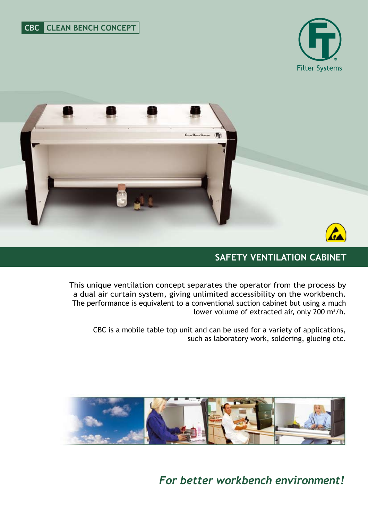



# **safety VENTILATION CABINET**

This unique ventilation concept separates the operator from the process by a dual air curtain system, giving unlimited accessibility on the workbench. The performance is equivalent to a conventional suction cabinet but using a much lower volume of extracted air, only 200  $m^3/h$ .

CBC is a mobile table top unit and can be used for a variety of applications, such as laboratory work, soldering, glueing etc.



*For better workbench environment!*